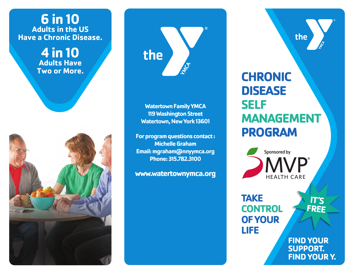## **6 in 10 Adults in the US Have a Chronic Disease.**

**4 in 10 Adults Have Two or More.**





**Watertown Family YMCA 119 Washington Street Watertown, New York 13601**

**For program questions contact : Michelle Graham Email: mgraham@nnyymca.org Phone: 315.782.3100**

**www.watertownymca.org**

# **CHRONIC DISEASE SELF MANAGEMENT PROGRAM**

the



**TAKE CONTROL OF YOUR LIFE**

**FIND YOUR SUPPORT. FIND YOUR Y.**

**IT'S FREE**